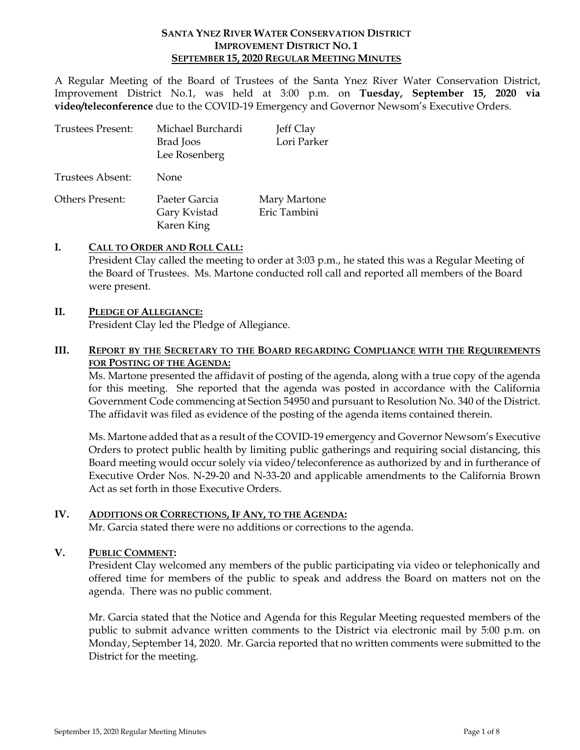#### **SANTA YNEZ RIVER WATER CONSERVATION DISTRICT IMPROVEMENT DISTRICT NO. 1 SEPTEMBER 15, 2020 REGULAR MEETING MINUTES**

A Regular Meeting of the Board of Trustees of the Santa Ynez River Water Conservation District, Improvement District No.1, was held at 3:00 p.m. on **Tuesday, September 15, 2020 via video/teleconference** due to the COVID-19 Emergency and Governor Newsom's Executive Orders.

| Trustees Present: | Michael Burchardi<br>Brad Joos<br>Lee Rosenberg | Jeff Clay<br>Lori Parker     |
|-------------------|-------------------------------------------------|------------------------------|
| Trustees Absent:  | <b>None</b>                                     |                              |
| Others Present:   | Paeter Garcia<br>Gary Kvistad<br>Karen King     | Mary Martone<br>Eric Tambini |

### **I. CALL TO ORDER AND ROLL CALL:**

President Clay called the meeting to order at 3:03 p.m., he stated this was a Regular Meeting of the Board of Trustees. Ms. Martone conducted roll call and reported all members of the Board were present.

#### **II. PLEDGE OF ALLEGIANCE:**

President Clay led the Pledge of Allegiance.

### **III. REPORT BY THE SECRETARY TO THE BOARD REGARDING COMPLIANCE WITH THE REQUIREMENTS FOR POSTING OF THE AGENDA:**

Ms. Martone presented the affidavit of posting of the agenda, along with a true copy of the agenda for this meeting. She reported that the agenda was posted in accordance with the California Government Code commencing at Section 54950 and pursuant to Resolution No. 340 of the District. The affidavit was filed as evidence of the posting of the agenda items contained therein.

Ms. Martone added that as a result of the COVID-19 emergency and Governor Newsom's Executive Orders to protect public health by limiting public gatherings and requiring social distancing, this Board meeting would occur solely via video/teleconference as authorized by and in furtherance of Executive Order Nos. N-29-20 and N-33-20 and applicable amendments to the California Brown Act as set forth in those Executive Orders.

#### **IV. ADDITIONS OR CORRECTIONS, IF ANY, TO THE AGENDA:**

Mr. Garcia stated there were no additions or corrections to the agenda.

#### **V. PUBLIC COMMENT:**

President Clay welcomed any members of the public participating via video or telephonically and offered time for members of the public to speak and address the Board on matters not on the agenda. There was no public comment.

Mr. Garcia stated that the Notice and Agenda for this Regular Meeting requested members of the public to submit advance written comments to the District via electronic mail by 5:00 p.m. on Monday, September 14, 2020. Mr. Garcia reported that no written comments were submitted to the District for the meeting.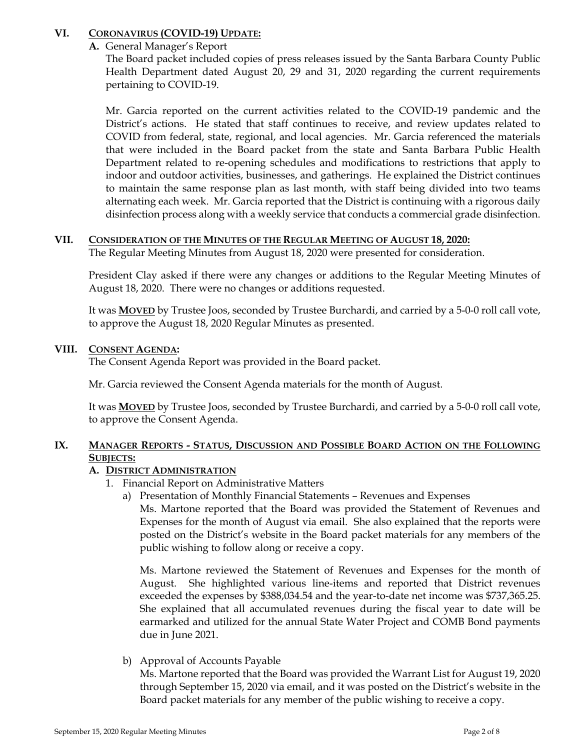# **VI. CORONAVIRUS (COVID-19) UPDATE:**

### **A.** General Manager's Report

The Board packet included copies of press releases issued by the Santa Barbara County Public Health Department dated August 20, 29 and 31, 2020 regarding the current requirements pertaining to COVID-19.

Mr. Garcia reported on the current activities related to the COVID-19 pandemic and the District's actions. He stated that staff continues to receive, and review updates related to COVID from federal, state, regional, and local agencies. Mr. Garcia referenced the materials that were included in the Board packet from the state and Santa Barbara Public Health Department related to re-opening schedules and modifications to restrictions that apply to indoor and outdoor activities, businesses, and gatherings. He explained the District continues to maintain the same response plan as last month, with staff being divided into two teams alternating each week. Mr. Garcia reported that the District is continuing with a rigorous daily disinfection process along with a weekly service that conducts a commercial grade disinfection.

### **VII. CONSIDERATION OF THE MINUTES OF THE REGULAR MEETING OF AUGUST 18, 2020:**

The Regular Meeting Minutes from August 18, 2020 were presented for consideration.

President Clay asked if there were any changes or additions to the Regular Meeting Minutes of August 18, 2020. There were no changes or additions requested.

It was **MOVED** by Trustee Joos, seconded by Trustee Burchardi, and carried by a 5-0-0 roll call vote, to approve the August 18, 2020 Regular Minutes as presented.

### **VIII. CONSENT AGENDA:**

The Consent Agenda Report was provided in the Board packet.

Mr. Garcia reviewed the Consent Agenda materials for the month of August.

It was **MOVED** by Trustee Joos, seconded by Trustee Burchardi, and carried by a 5-0-0 roll call vote, to approve the Consent Agenda.

# **IX. MANAGER REPORTS - STATUS, DISCUSSION AND POSSIBLE BOARD ACTION ON THE FOLLOWING SUBJECTS:**

# **A. DISTRICT ADMINISTRATION**

- 1. Financial Report on Administrative Matters
	- a) Presentation of Monthly Financial Statements Revenues and Expenses

Ms. Martone reported that the Board was provided the Statement of Revenues and Expenses for the month of August via email. She also explained that the reports were posted on the District's website in the Board packet materials for any members of the public wishing to follow along or receive a copy.

Ms. Martone reviewed the Statement of Revenues and Expenses for the month of August. She highlighted various line-items and reported that District revenues exceeded the expenses by \$388,034.54 and the year-to-date net income was \$737,365.25. She explained that all accumulated revenues during the fiscal year to date will be earmarked and utilized for the annual State Water Project and COMB Bond payments due in June 2021.

b) Approval of Accounts Payable

Ms. Martone reported that the Board was provided the Warrant List for August 19, 2020 through September 15, 2020 via email, and it was posted on the District's website in the Board packet materials for any member of the public wishing to receive a copy.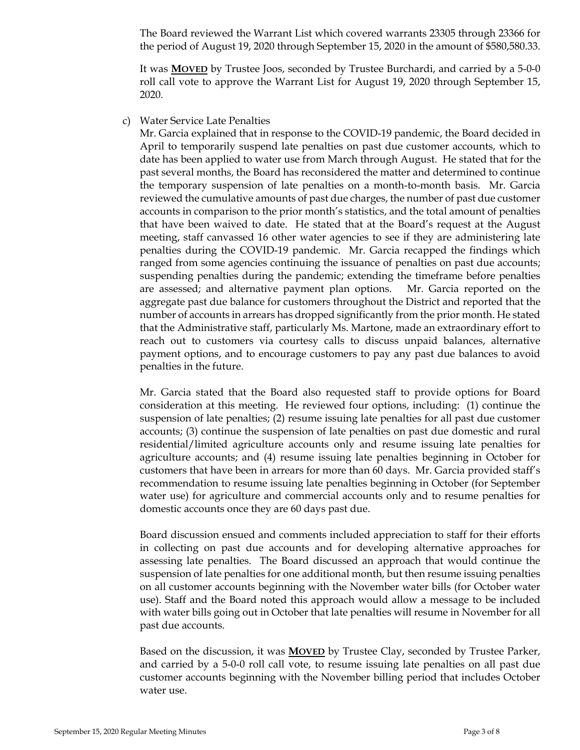The Board reviewed the Warrant List which covered warrants 23305 through 23366 for the period of August 19, 2020 through September 15, 2020 in the amount of \$580,580.33.

It was **MOVED** by Trustee Joos, seconded by Trustee Burchardi, and carried by a 5-0-0 roll call vote to approve the Warrant List for August 19, 2020 through September 15, 2020.

c) Water Service Late Penalties

Mr. Garcia explained that in response to the COVID-19 pandemic, the Board decided in April to temporarily suspend late penalties on past due customer accounts, which to date has been applied to water use from March through August. He stated that for the past several months, the Board has reconsidered the matter and determined to continue the temporary suspension of late penalties on a month-to-month basis. Mr. Garcia reviewed the cumulative amounts of past due charges, the number of past due customer accounts in comparison to the prior month's statistics, and the total amount of penalties that have been waived to date. He stated that at the Board's request at the August meeting, staff canvassed 16 other water agencies to see if they are administering late penalties during the COVID-19 pandemic. Mr. Garcia recapped the findings which ranged from some agencies continuing the issuance of penalties on past due accounts; suspending penalties during the pandemic; extending the timeframe before penalties are assessed; and alternative payment plan options. Mr. Garcia reported on the aggregate past due balance for customers throughout the District and reported that the number of accounts in arrears has dropped significantly from the prior month. He stated that the Administrative staff, particularly Ms. Martone, made an extraordinary effort to reach out to customers via courtesy calls to discuss unpaid balances, alternative payment options, and to encourage customers to pay any past due balances to avoid penalties in the future.

Mr. Garcia stated that the Board also requested staff to provide options for Board consideration at this meeting. He reviewed four options, including: (1) continue the suspension of late penalties; (2) resume issuing late penalties for all past due customer accounts; (3) continue the suspension of late penalties on past due domestic and rural residential/limited agriculture accounts only and resume issuing late penalties for agriculture accounts; and (4) resume issuing late penalties beginning in October for customers that have been in arrears for more than 60 days. Mr. Garcia provided staff's recommendation to resume issuing late penalties beginning in October (for September water use) for agriculture and commercial accounts only and to resume penalties for domestic accounts once they are 60 days past due.

Board discussion ensued and comments included appreciation to staff for their efforts in collecting on past due accounts and for developing alternative approaches for assessing late penalties. The Board discussed an approach that would continue the suspension of late penalties for one additional month, but then resume issuing penalties on all customer accounts beginning with the November water bills (for October water use). Staff and the Board noted this approach would allow a message to be included with water bills going out in October that late penalties will resume in November for all past due accounts.

Based on the discussion, it was **MOVED** by Trustee Clay, seconded by Trustee Parker, and carried by a 5-0-0 roll call vote, to resume issuing late penalties on all past due customer accounts beginning with the November billing period that includes October water use.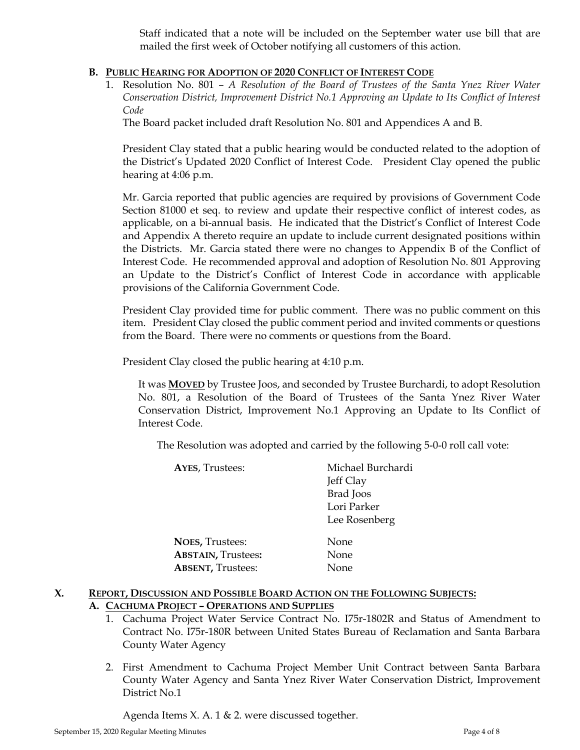Staff indicated that a note will be included on the September water use bill that are mailed the first week of October notifying all customers of this action.

### **B. PUBLIC HEARING FOR ADOPTION OF 2020 CONFLICT OF INTEREST CODE**

1. Resolution No. 801 – *A Resolution of the Board of Trustees of the Santa Ynez River Water Conservation District, Improvement District No.1 Approving an Update to Its Conflict of Interest Code*

The Board packet included draft Resolution No. 801 and Appendices A and B.

President Clay stated that a public hearing would be conducted related to the adoption of the District's Updated 2020 Conflict of Interest Code. President Clay opened the public hearing at 4:06 p.m.

Mr. Garcia reported that public agencies are required by provisions of Government Code Section 81000 et seq. to review and update their respective conflict of interest codes, as applicable, on a bi-annual basis. He indicated that the District's Conflict of Interest Code and Appendix A thereto require an update to include current designated positions within the Districts. Mr. Garcia stated there were no changes to Appendix B of the Conflict of Interest Code. He recommended approval and adoption of Resolution No. 801 Approving an Update to the District's Conflict of Interest Code in accordance with applicable provisions of the California Government Code.

President Clay provided time for public comment. There was no public comment on this item. President Clay closed the public comment period and invited comments or questions from the Board. There were no comments or questions from the Board.

President Clay closed the public hearing at 4:10 p.m.

It was **MOVED** by Trustee Joos, and seconded by Trustee Burchardi, to adopt Resolution No. 801, a Resolution of the Board of Trustees of the Santa Ynez River Water Conservation District, Improvement No.1 Approving an Update to Its Conflict of Interest Code.

The Resolution was adopted and carried by the following 5-0-0 roll call vote:

| <b>AYES, Trustees:</b>    | Michael Burchardi |
|---------------------------|-------------------|
|                           | Jeff Clay         |
|                           | Brad Joos         |
|                           | Lori Parker       |
|                           | Lee Rosenberg     |
| <b>NOES, Trustees:</b>    | None              |
| <b>ABSTAIN, Trustees:</b> | None              |
| <b>ABSENT, Trustees:</b>  | None              |
|                           |                   |

# **X. REPORT, DISCUSSION AND POSSIBLE BOARD ACTION ON THE FOLLOWING SUBJECTS:**

- **A. CACHUMA PROJECT – OPERATIONS AND SUPPLIES**
	- 1. Cachuma Project Water Service Contract No. I75r-1802R and Status of Amendment to Contract No. I75r-180R between United States Bureau of Reclamation and Santa Barbara County Water Agency
	- 2. First Amendment to Cachuma Project Member Unit Contract between Santa Barbara County Water Agency and Santa Ynez River Water Conservation District, Improvement District No.1

Agenda Items X. A. 1 & 2. were discussed together.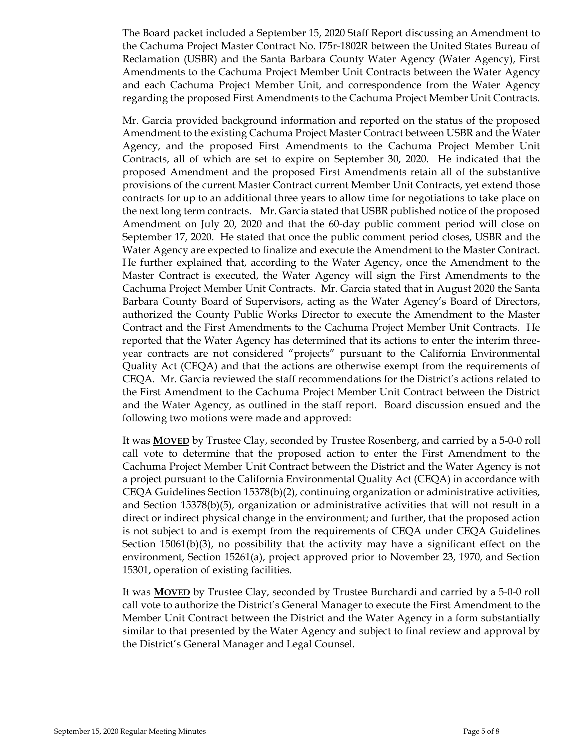The Board packet included a September 15, 2020 Staff Report discussing an Amendment to the Cachuma Project Master Contract No. I75r-1802R between the United States Bureau of Reclamation (USBR) and the Santa Barbara County Water Agency (Water Agency), First Amendments to the Cachuma Project Member Unit Contracts between the Water Agency and each Cachuma Project Member Unit, and correspondence from the Water Agency regarding the proposed First Amendments to the Cachuma Project Member Unit Contracts.

Mr. Garcia provided background information and reported on the status of the proposed Amendment to the existing Cachuma Project Master Contract between USBR and the Water Agency, and the proposed First Amendments to the Cachuma Project Member Unit Contracts, all of which are set to expire on September 30, 2020. He indicated that the proposed Amendment and the proposed First Amendments retain all of the substantive provisions of the current Master Contract current Member Unit Contracts, yet extend those contracts for up to an additional three years to allow time for negotiations to take place on the next long term contracts. Mr. Garcia stated that USBR published notice of the proposed Amendment on July 20, 2020 and that the 60-day public comment period will close on September 17, 2020. He stated that once the public comment period closes, USBR and the Water Agency are expected to finalize and execute the Amendment to the Master Contract. He further explained that, according to the Water Agency, once the Amendment to the Master Contract is executed, the Water Agency will sign the First Amendments to the Cachuma Project Member Unit Contracts. Mr. Garcia stated that in August 2020 the Santa Barbara County Board of Supervisors, acting as the Water Agency's Board of Directors, authorized the County Public Works Director to execute the Amendment to the Master Contract and the First Amendments to the Cachuma Project Member Unit Contracts. He reported that the Water Agency has determined that its actions to enter the interim threeyear contracts are not considered "projects" pursuant to the California Environmental Quality Act (CEQA) and that the actions are otherwise exempt from the requirements of CEQA. Mr. Garcia reviewed the staff recommendations for the District's actions related to the First Amendment to the Cachuma Project Member Unit Contract between the District and the Water Agency, as outlined in the staff report. Board discussion ensued and the following two motions were made and approved:

It was **MOVED** by Trustee Clay, seconded by Trustee Rosenberg, and carried by a 5-0-0 roll call vote to determine that the proposed action to enter the First Amendment to the Cachuma Project Member Unit Contract between the District and the Water Agency is not a project pursuant to the California Environmental Quality Act (CEQA) in accordance with CEQA Guidelines Section 15378(b)(2), continuing organization or administrative activities, and Section 15378(b)(5), organization or administrative activities that will not result in a direct or indirect physical change in the environment; and further, that the proposed action is not subject to and is exempt from the requirements of CEQA under CEQA Guidelines Section 15061(b)(3), no possibility that the activity may have a significant effect on the environment, Section 15261(a), project approved prior to November 23, 1970, and Section 15301, operation of existing facilities.

It was **MOVED** by Trustee Clay, seconded by Trustee Burchardi and carried by a 5-0-0 roll call vote to authorize the District's General Manager to execute the First Amendment to the Member Unit Contract between the District and the Water Agency in a form substantially similar to that presented by the Water Agency and subject to final review and approval by the District's General Manager and Legal Counsel.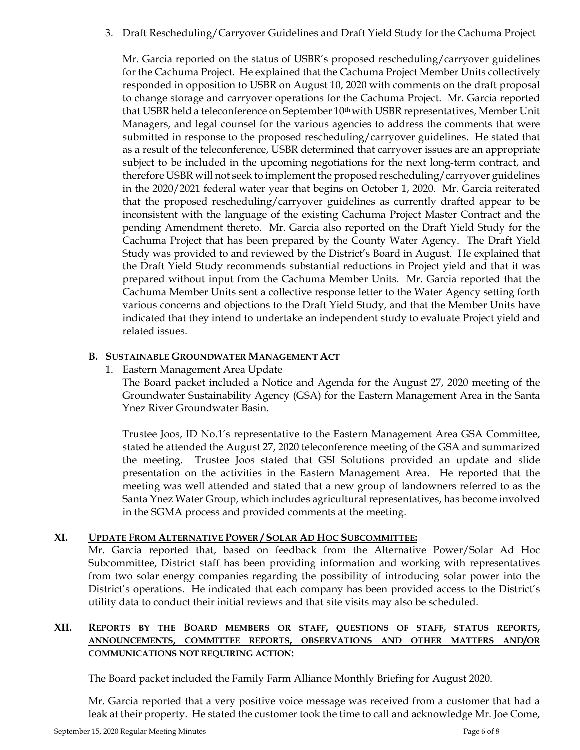3. Draft Rescheduling/Carryover Guidelines and Draft Yield Study for the Cachuma Project

Mr. Garcia reported on the status of USBR's proposed rescheduling/carryover guidelines for the Cachuma Project. He explained that the Cachuma Project Member Units collectively responded in opposition to USBR on August 10, 2020 with comments on the draft proposal to change storage and carryover operations for the Cachuma Project. Mr. Garcia reported that USBR held a teleconference on September 10<sup>th</sup> with USBR representatives, Member Unit Managers, and legal counsel for the various agencies to address the comments that were submitted in response to the proposed rescheduling/carryover guidelines. He stated that as a result of the teleconference, USBR determined that carryover issues are an appropriate subject to be included in the upcoming negotiations for the next long-term contract, and therefore USBR will not seek to implement the proposed rescheduling/carryover guidelines in the 2020/2021 federal water year that begins on October 1, 2020. Mr. Garcia reiterated that the proposed rescheduling/carryover guidelines as currently drafted appear to be inconsistent with the language of the existing Cachuma Project Master Contract and the pending Amendment thereto. Mr. Garcia also reported on the Draft Yield Study for the Cachuma Project that has been prepared by the County Water Agency. The Draft Yield Study was provided to and reviewed by the District's Board in August. He explained that the Draft Yield Study recommends substantial reductions in Project yield and that it was prepared without input from the Cachuma Member Units. Mr. Garcia reported that the Cachuma Member Units sent a collective response letter to the Water Agency setting forth various concerns and objections to the Draft Yield Study, and that the Member Units have indicated that they intend to undertake an independent study to evaluate Project yield and related issues.

# **B. SUSTAINABLE GROUNDWATER MANAGEMENT ACT**

1. Eastern Management Area Update

The Board packet included a Notice and Agenda for the August 27, 2020 meeting of the Groundwater Sustainability Agency (GSA) for the Eastern Management Area in the Santa Ynez River Groundwater Basin.

Trustee Joos, ID No.1's representative to the Eastern Management Area GSA Committee, stated he attended the August 27, 2020 teleconference meeting of the GSA and summarized the meeting. Trustee Joos stated that GSI Solutions provided an update and slide presentation on the activities in the Eastern Management Area. He reported that the meeting was well attended and stated that a new group of landowners referred to as the Santa Ynez Water Group, which includes agricultural representatives, has become involved in the SGMA process and provided comments at the meeting.

# **XI. UPDATE FROM ALTERNATIVE POWER / SOLAR AD HOC SUBCOMMITTEE:**

Mr. Garcia reported that, based on feedback from the Alternative Power/Solar Ad Hoc Subcommittee, District staff has been providing information and working with representatives from two solar energy companies regarding the possibility of introducing solar power into the District's operations. He indicated that each company has been provided access to the District's utility data to conduct their initial reviews and that site visits may also be scheduled.

### **XII. REPORTS BY THE BOARD MEMBERS OR STAFF, QUESTIONS OF STAFF, STATUS REPORTS, ANNOUNCEMENTS, COMMITTEE REPORTS, OBSERVATIONS AND OTHER MATTERS AND/OR COMMUNICATIONS NOT REQUIRING ACTION:**

The Board packet included the Family Farm Alliance Monthly Briefing for August 2020.

Mr. Garcia reported that a very positive voice message was received from a customer that had a leak at their property. He stated the customer took the time to call and acknowledge Mr. Joe Come,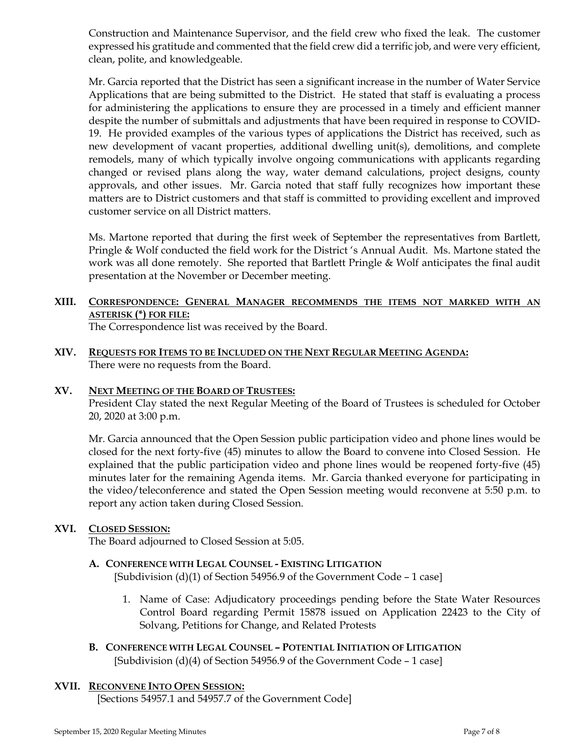Construction and Maintenance Supervisor, and the field crew who fixed the leak. The customer expressed his gratitude and commented that the field crew did a terrific job, and were very efficient, clean, polite, and knowledgeable.

Mr. Garcia reported that the District has seen a significant increase in the number of Water Service Applications that are being submitted to the District. He stated that staff is evaluating a process for administering the applications to ensure they are processed in a timely and efficient manner despite the number of submittals and adjustments that have been required in response to COVID-19. He provided examples of the various types of applications the District has received, such as new development of vacant properties, additional dwelling unit(s), demolitions, and complete remodels, many of which typically involve ongoing communications with applicants regarding changed or revised plans along the way, water demand calculations, project designs, county approvals, and other issues. Mr. Garcia noted that staff fully recognizes how important these matters are to District customers and that staff is committed to providing excellent and improved customer service on all District matters.

Ms. Martone reported that during the first week of September the representatives from Bartlett, Pringle & Wolf conducted the field work for the District 's Annual Audit. Ms. Martone stated the work was all done remotely. She reported that Bartlett Pringle & Wolf anticipates the final audit presentation at the November or December meeting.

# **XIII. CORRESPONDENCE: GENERAL MANAGER RECOMMENDS THE ITEMS NOT MARKED WITH AN ASTERISK (\*) FOR FILE:**

The Correspondence list was received by the Board.

**XIV. REQUESTS FOR ITEMS TO BE INCLUDED ON THE NEXT REGULAR MEETING AGENDA:**  There were no requests from the Board.

#### **XV. NEXT MEETING OF THE BOARD OF TRUSTEES:**

President Clay stated the next Regular Meeting of the Board of Trustees is scheduled for October 20, 2020 at 3:00 p.m.

Mr. Garcia announced that the Open Session public participation video and phone lines would be closed for the next forty-five (45) minutes to allow the Board to convene into Closed Session. He explained that the public participation video and phone lines would be reopened forty-five (45) minutes later for the remaining Agenda items. Mr. Garcia thanked everyone for participating in the video/teleconference and stated the Open Session meeting would reconvene at 5:50 p.m. to report any action taken during Closed Session.

# **XVI. CLOSED SESSION:**

The Board adjourned to Closed Session at 5:05.

# **A. CONFERENCE WITH LEGAL COUNSEL - EXISTING LITIGATION**

[Subdivision  $(d)(1)$  of Section 54956.9 of the Government Code – 1 case]

- 1. Name of Case: Adjudicatory proceedings pending before the State Water Resources Control Board regarding Permit 15878 issued on Application 22423 to the City of Solvang, Petitions for Change, and Related Protests
- **B. CONFERENCE WITH LEGAL COUNSEL – POTENTIAL INITIATION OF LITIGATION** [Subdivision  $(d)(4)$  of Section 54956.9 of the Government Code – 1 case]

# **XVII. RECONVENE INTO OPEN SESSION:**

[Sections 54957.1 and 54957.7 of the Government Code]